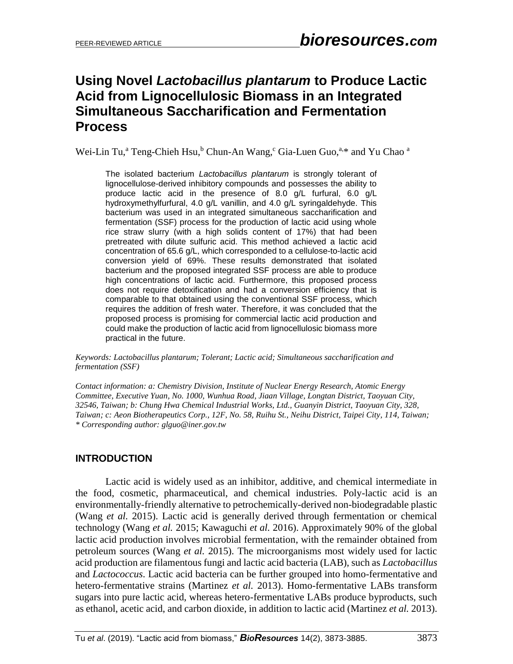# **Using Novel** *Lactobacillus plantarum* **to Produce Lactic Acid from Lignocellulosic Biomass in an Integrated Simultaneous Saccharification and Fermentation Process**

Wei-Lin Tu,<sup>a</sup> Teng-Chieh Hsu,<sup>b</sup> Chun-An Wang,<sup>c</sup> Gia-Luen Guo, $a^*$  and Yu Chao  $a$ 

The isolated bacterium *Lactobacillus plantarum* is strongly tolerant of lignocellulose-derived inhibitory compounds and possesses the ability to produce lactic acid in the presence of 8.0 g/L furfural, 6.0 g/L hydroxymethylfurfural, 4.0 g/L vanillin, and 4.0 g/L syringaldehyde. This bacterium was used in an integrated simultaneous saccharification and fermentation (SSF) process for the production of lactic acid using whole rice straw slurry (with a high solids content of 17%) that had been pretreated with dilute sulfuric acid. This method achieved a lactic acid concentration of 65.6 g/L, which corresponded to a cellulose-to-lactic acid conversion yield of 69%. These results demonstrated that isolated bacterium and the proposed integrated SSF process are able to produce high concentrations of lactic acid. Furthermore, this proposed process does not require detoxification and had a conversion efficiency that is comparable to that obtained using the conventional SSF process, which requires the addition of fresh water. Therefore, it was concluded that the proposed process is promising for commercial lactic acid production and could make the production of lactic acid from lignocellulosic biomass more practical in the future.

*Keywords: Lactobacillus plantarum; Tolerant; Lactic acid; Simultaneous saccharification and fermentation (SSF)*

*Contact information: a: Chemistry Division, Institute of Nuclear Energy Research, Atomic Energy Committee, Executive Yuan, No. 1000, Wunhua Road, Jiaan Village, Longtan District, Taoyuan City, 32546, Taiwan; b: Chung Hwa Chemical Industrial Works, Ltd., Guanyin District, Taoyuan City, 328, Taiwan; c: Aeon Biotherapeutics Corp., 12F, No. 58, Ruihu St., Neihu District, Taipei City, 114, Taiwan; \* Corresponding author: glguo@iner.gov.tw*

# **INTRODUCTION**

Lactic acid is widely used as an inhibitor, additive, and chemical intermediate in the food, cosmetic, pharmaceutical, and chemical industries. Poly-lactic acid is an environmentally-friendly alternative to petrochemically-derived non-biodegradable plastic (Wang *et al.* 2015). Lactic acid is generally derived through fermentation or chemical technology (Wang *et al.* 2015; Kawaguchi *et al.* 2016). Approximately 90% of the global lactic acid production involves microbial fermentation, with the remainder obtained from petroleum sources (Wang *et al.* 2015). The microorganisms most widely used for lactic acid production are filamentous fungi and lactic acid bacteria (LAB), such as *Lactobacillus* and *Lactococcus*. Lactic acid bacteria can be further grouped into homo-fermentative and hetero-fermentative strains (Martinez *et al.* 2013). Homo-fermentative LABs transform sugars into pure lactic acid, whereas hetero-fermentative LABs produce byproducts, such as ethanol, acetic acid, and carbon dioxide, in addition to lactic acid (Martinez *et al.* 2013).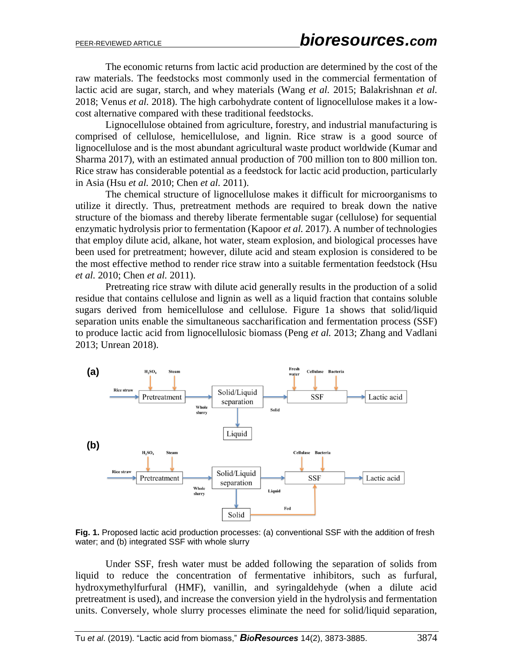The economic returns from lactic acid production are determined by the cost of the raw materials. The feedstocks most commonly used in the commercial fermentation of lactic acid are sugar, starch, and whey materials (Wang *et al.* 2015; Balakrishnan *et al.* 2018; Venus *et al.* 2018). The high carbohydrate content of lignocellulose makes it a lowcost alternative compared with these traditional feedstocks.

Lignocellulose obtained from agriculture, forestry, and industrial manufacturing is comprised of cellulose, hemicellulose, and lignin. Rice straw is a good source of lignocellulose and is the most abundant agricultural waste product worldwide (Kumar and Sharma 2017), with an estimated annual production of 700 million ton to 800 million ton. Rice straw has considerable potential as a feedstock for lactic acid production, particularly in Asia (Hsu *et al.* 2010; Chen *et al.* 2011).

The chemical structure of lignocellulose makes it difficult for microorganisms to utilize it directly. Thus, pretreatment methods are required to break down the native structure of the biomass and thereby liberate fermentable sugar (cellulose) for sequential enzymatic hydrolysis prior to fermentation (Kapoor *et al.* 2017). A number of technologies that employ dilute acid, alkane, hot water, steam explosion, and biological processes have been used for pretreatment; however, dilute acid and steam explosion is considered to be the most effective method to render rice straw into a suitable fermentation feedstock (Hsu *et al.* 2010; Chen *et al.* 2011).

Pretreating rice straw with dilute acid generally results in the production of a solid residue that contains cellulose and lignin as well as a liquid fraction that contains soluble sugars derived from hemicellulose and cellulose. Figure 1a shows that solid/liquid separation units enable the simultaneous saccharification and fermentation process (SSF) to produce lactic acid from lignocellulosic biomass (Peng *et al.* 2013; Zhang and Vadlani 2013; Unrean 2018).



**Fig. 1.** Proposed lactic acid production processes: (a) conventional SSF with the addition of fresh water; and (b) integrated SSF with whole slurry

Under SSF, fresh water must be added following the separation of solids from liquid to reduce the concentration of fermentative inhibitors, such as furfural, hydroxymethylfurfural (HMF), vanillin, and syringaldehyde (when a dilute acid pretreatment is used), and increase the conversion yield in the hydrolysis and fermentation units. Conversely, whole slurry processes eliminate the need for solid/liquid separation,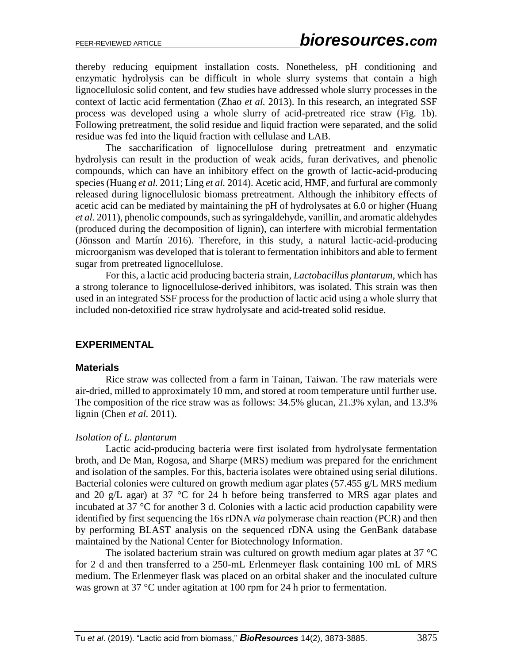thereby reducing equipment installation costs. Nonetheless, pH conditioning and enzymatic hydrolysis can be difficult in whole slurry systems that contain a high lignocellulosic solid content, and few studies have addressed whole slurry processes in the context of lactic acid fermentation (Zhao *et al.* 2013). In this research, an integrated SSF process was developed using a whole slurry of acid-pretreated rice straw (Fig. 1b). Following pretreatment, the solid residue and liquid fraction were separated, and the solid residue was fed into the liquid fraction with cellulase and LAB.

The saccharification of lignocellulose during pretreatment and enzymatic hydrolysis can result in the production of weak acids, furan derivatives, and phenolic compounds, which can have an inhibitory effect on the growth of lactic-acid-producing species (Huang *et al.* 2011; Ling *et al.* 2014). Acetic acid, HMF, and furfural are commonly released during lignocellulosic biomass pretreatment. Although the inhibitory effects of acetic acid can be mediated by maintaining the pH of hydrolysates at 6.0 or higher (Huang *et al.* 2011), phenolic compounds, such as syringaldehyde, vanillin, and aromatic aldehydes (produced during the decomposition of lignin), can interfere with microbial fermentation (Jönsson and Martín 2016). Therefore, in this study, a natural lactic-acid-producing microorganism was developed that is tolerant to fermentation inhibitors and able to ferment sugar from pretreated lignocellulose.

For this, a lactic acid producing bacteria strain, *Lactobacillus plantarum*, which has a strong tolerance to lignocellulose-derived inhibitors, was isolated. This strain was then used in an integrated SSF process for the production of lactic acid using a whole slurry that included non-detoxified rice straw hydrolysate and acid-treated solid residue.

## **EXPERIMENTAL**

#### **Materials**

Rice straw was collected from a farm in Tainan, Taiwan. The raw materials were air-dried, milled to approximately 10 mm, and stored at room temperature until further use. The composition of the rice straw was as follows: 34.5% glucan, 21.3% xylan, and 13.3% lignin (Chen *et al.* 2011).

#### *Isolation of L. plantarum*

Lactic acid-producing bacteria were first isolated from hydrolysate fermentation broth, and De Man, Rogosa, and Sharpe (MRS) medium was prepared for the enrichment and isolation of the samples. For this, bacteria isolates were obtained using serial dilutions. Bacterial colonies were cultured on growth medium agar plates (57.455 g/L MRS medium and 20 g/L agar) at 37 °C for 24 h before being transferred to MRS agar plates and incubated at 37 °C for another 3 d. Colonies with a lactic acid production capability were identified by first sequencing the 16s rDNA *via* polymerase chain reaction (PCR) and then by performing BLAST analysis on the sequenced rDNA using the GenBank database maintained by the National Center for Biotechnology Information.

The isolated bacterium strain was cultured on growth medium agar plates at 37 °C for 2 d and then transferred to a 250-mL Erlenmeyer flask containing 100 mL of MRS medium. The Erlenmeyer flask was placed on an orbital shaker and the inoculated culture was grown at 37 °C under agitation at 100 rpm for 24 h prior to fermentation.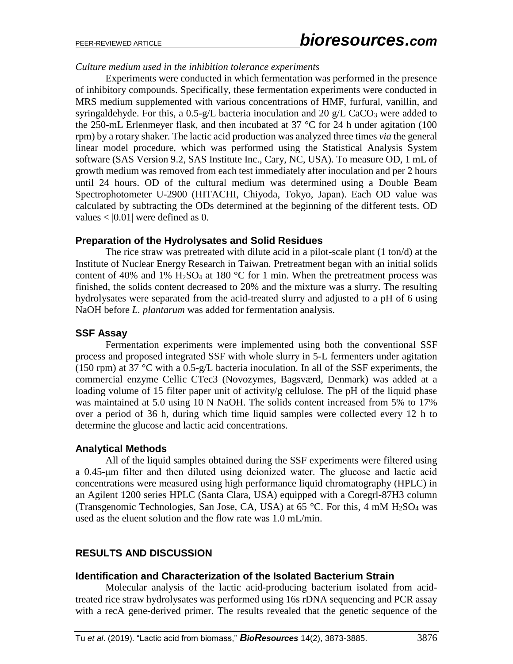#### *Culture medium used in the inhibition tolerance experiments*

Experiments were conducted in which fermentation was performed in the presence of inhibitory compounds. Specifically, these fermentation experiments were conducted in MRS medium supplemented with various concentrations of HMF, furfural, vanillin, and syringaldehyde. For this, a  $0.5-g/L$  bacteria inoculation and  $20 g/L$  CaCO<sub>3</sub> were added to the 250-mL Erlenmeyer flask, and then incubated at 37 °C for 24 h under agitation (100 rpm) by a rotary shaker. The lactic acid production was analyzed three times *via* the general linear model procedure, which was performed using the Statistical Analysis System software (SAS Version 9.2, SAS Institute Inc., Cary, NC, USA). To measure OD, 1 mL of growth medium was removed from each test immediately after inoculation and per 2 hours until 24 hours. OD of the cultural medium was determined using a Double Beam Spectrophotometer U-2900 (HITACHI, Chiyoda, Tokyo, Japan). Each OD value was calculated by subtracting the ODs determined at the beginning of the different tests. OD values  $<$  [0.01] were defined as 0.

## **Preparation of the Hydrolysates and Solid Residues**

The rice straw was pretreated with dilute acid in a pilot-scale plant (1 ton/d) at the Institute of Nuclear Energy Research in Taiwan. Pretreatment began with an initial solids content of 40% and 1%  $H_2SO_4$  at 180 °C for 1 min. When the pretreatment process was finished, the solids content decreased to 20% and the mixture was a slurry. The resulting hydrolysates were separated from the acid-treated slurry and adjusted to a pH of 6 using NaOH before *L. plantarum* was added for fermentation analysis.

## **SSF Assay**

Fermentation experiments were implemented using both the conventional SSF process and proposed integrated SSF with whole slurry in 5-L fermenters under agitation (150 rpm) at 37 °C with a 0.5-g/L bacteria inoculation. In all of the SSF experiments, the commercial enzyme Cellic CTec3 (Novozymes, Bagsværd, Denmark) was added at a loading volume of 15 filter paper unit of activity/g cellulose. The pH of the liquid phase was maintained at 5.0 using 10 N NaOH. The solids content increased from 5% to 17% over a period of 36 h, during which time liquid samples were collected every 12 h to determine the glucose and lactic acid concentrations.

## **Analytical Methods**

All of the liquid samples obtained during the SSF experiments were filtered using a 0.45-μm filter and then diluted using deionized water. The glucose and lactic acid concentrations were measured using high performance liquid chromatography (HPLC) in an Agilent 1200 series HPLC (Santa Clara, USA) equipped with a Coregrl-87H3 column (Transgenomic Technologies, San Jose, CA, USA) at 65 °C. For this, 4 mM  $H<sub>2</sub>SO<sub>4</sub>$  was used as the eluent solution and the flow rate was 1.0 mL/min.

## **RESULTS AND DISCUSSION**

#### **Identification and Characterization of the Isolated Bacterium Strain**

Molecular analysis of the lactic acid-producing bacterium isolated from acidtreated rice straw hydrolysates was performed using 16s rDNA sequencing and PCR assay with a recA gene-derived primer. The results revealed that the genetic sequence of the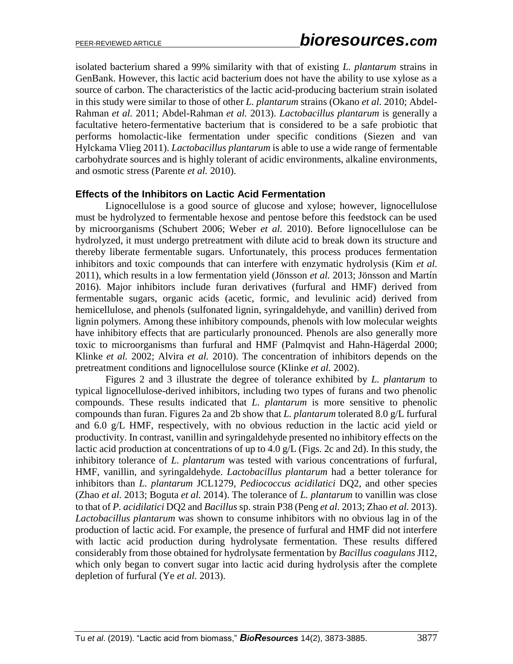isolated bacterium shared a 99% similarity with that of existing *L. plantarum* strains in GenBank. However, this lactic acid bacterium does not have the ability to use xylose as a source of carbon. The characteristics of the lactic acid-producing bacterium strain isolated in this study were similar to those of other *L. plantarum* strains (Okano *et al.* 2010; Abdel-Rahman *et al.* 2011; Abdel-Rahman *et al.* 2013). *Lactobacillus plantarum* is generally a facultative hetero-fermentative bacterium that is considered to be a safe probiotic that performs homolactic-like fermentation under specific conditions (Siezen and van Hylckama Vlieg 2011). *Lactobacillus plantarum* is able to use a wide range of fermentable carbohydrate sources and is highly tolerant of acidic environments, alkaline environments, and osmotic stress (Parente *et al.* 2010).

#### **Effects of the Inhibitors on Lactic Acid Fermentation**

Lignocellulose is a good source of glucose and xylose; however, lignocellulose must be hydrolyzed to fermentable hexose and pentose before this feedstock can be used by microorganisms (Schubert 2006; Weber *et al.* 2010). Before lignocellulose can be hydrolyzed, it must undergo pretreatment with dilute acid to break down its structure and thereby liberate fermentable sugars. Unfortunately, this process produces fermentation inhibitors and toxic compounds that can interfere with enzymatic hydrolysis (Kim *et al.* 2011), which results in a low fermentation yield (Jönsson *et al.* 2013; Jönsson and Martín 2016). Major inhibitors include furan derivatives (furfural and HMF) derived from fermentable sugars, organic acids (acetic, formic, and levulinic acid) derived from hemicellulose, and phenols (sulfonated lignin, syringaldehyde, and vanillin) derived from lignin polymers. Among these inhibitory compounds, phenols with low molecular weights have inhibitory effects that are particularly pronounced. Phenols are also generally more toxic to microorganisms than furfural and HMF (Palmqvist and Hahn-Hägerdal 2000; Klinke *et al.* 2002; Alvira *et al.* 2010). The concentration of inhibitors depends on the pretreatment conditions and lignocellulose source (Klinke *et al.* 2002).

Figures 2 and 3 illustrate the degree of tolerance exhibited by *L. plantarum* to typical lignocellulose-derived inhibitors, including two types of furans and two phenolic compounds. These results indicated that *L. plantarum* is more sensitive to phenolic compounds than furan. Figures 2a and 2b show that *L. plantarum* tolerated 8.0 g/L furfural and 6.0 g/L HMF, respectively, with no obvious reduction in the lactic acid yield or productivity. In contrast, vanillin and syringaldehyde presented no inhibitory effects on the lactic acid production at concentrations of up to 4.0 g/L (Figs. 2c and 2d). In this study, the inhibitory tolerance of *L. plantarum* was tested with various concentrations of furfural, HMF, vanillin, and syringaldehyde. *Lactobacillus plantarum* had a better tolerance for inhibitors than *L. plantarum* JCL1279, *Pediococcus acidilatici* DQ2, and other species (Zhao *et al.* 2013; Boguta *et al.* 2014). The tolerance of *L. plantarum* to vanillin was close to that of *P. acidilatici* DQ2 and *Bacillus* sp. strain P38 (Peng *et al.* 2013; Zhao *et al.* 2013). *Lactobacillus plantarum* was shown to consume inhibitors with no obvious lag in of the production of lactic acid. For example, the presence of furfural and HMF did not interfere with lactic acid production during hydrolysate fermentation. These results differed considerably from those obtained for hydrolysate fermentation by *Bacillus coagulans* JI12, which only began to convert sugar into lactic acid during hydrolysis after the complete depletion of furfural (Ye *et al.* 2013).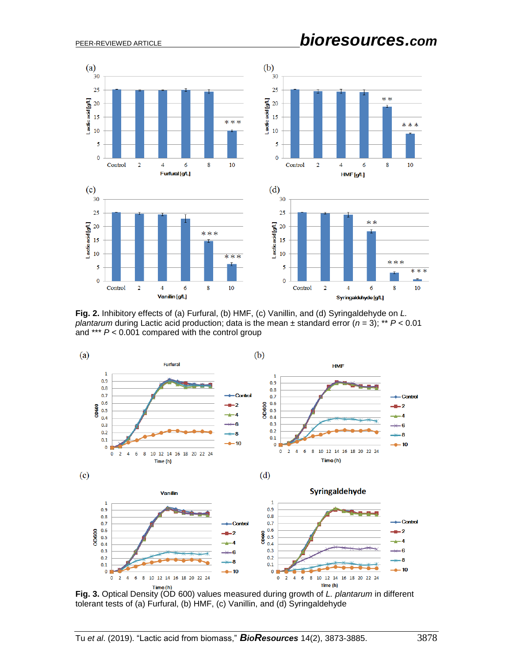

**Fig. 2.** Inhibitory effects of (a) Furfural, (b) HMF, (c) Vanillin, and (d) Syringaldehyde on *L. plantarum* during Lactic acid production; data is the mean  $\pm$  standard error ( $n = 3$ ); \*\*  $P < 0.01$ and \*\*\* *P* < 0.001 compared with the control group



**Fig. 3.** Optical Density (OD 600) values measured during growth of *L. plantarum* in different tolerant tests of (a) Furfural, (b) HMF, (c) Vanillin, and (d) Syringaldehyde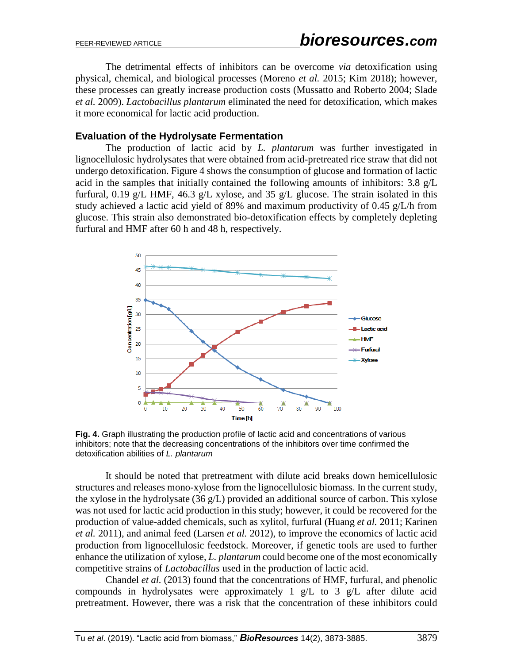The detrimental effects of inhibitors can be overcome *via* detoxification using physical, chemical, and biological processes (Moreno *et al.* 2015; Kim 2018); however, these processes can greatly increase production costs (Mussatto and Roberto 2004; Slade *et al.* 2009). *Lactobacillus plantarum* eliminated the need for detoxification, which makes it more economical for lactic acid production.

#### **Evaluation of the Hydrolysate Fermentation**

The production of lactic acid by *L. plantarum* was further investigated in lignocellulosic hydrolysates that were obtained from acid-pretreated rice straw that did not undergo detoxification. Figure 4 shows the consumption of glucose and formation of lactic acid in the samples that initially contained the following amounts of inhibitors: 3.8 g/L furfural, 0.19 g/L HMF, 46.3 g/L xylose, and 35 g/L glucose. The strain isolated in this study achieved a lactic acid yield of 89% and maximum productivity of 0.45 g/L/h from glucose. This strain also demonstrated bio-detoxification effects by completely depleting furfural and HMF after 60 h and 48 h, respectively.



**Fig. 4.** Graph illustrating the production profile of lactic acid and concentrations of various inhibitors; note that the decreasing concentrations of the inhibitors over time confirmed the detoxification abilities of *L. plantarum*

It should be noted that pretreatment with dilute acid breaks down hemicellulosic structures and releases mono-xylose from the lignocellulosic biomass. In the current study, the xylose in the hydrolysate (36 g/L) provided an additional source of carbon. This xylose was not used for lactic acid production in this study; however, it could be recovered for the production of value-added chemicals, such as xylitol, furfural (Huang *et al.* 2011; Karinen *et al.* 2011), and animal feed (Larsen *et al.* 2012), to improve the economics of lactic acid production from lignocellulosic feedstock. Moreover, if genetic tools are used to further enhance the utilization of xylose, *L. plantarum* could become one of the most economically competitive strains of *Lactobacillus* used in the production of lactic acid.

Chandel *et al.* (2013) found that the concentrations of HMF, furfural, and phenolic compounds in hydrolysates were approximately 1  $g/L$  to 3  $g/L$  after dilute acid pretreatment. However, there was a risk that the concentration of these inhibitors could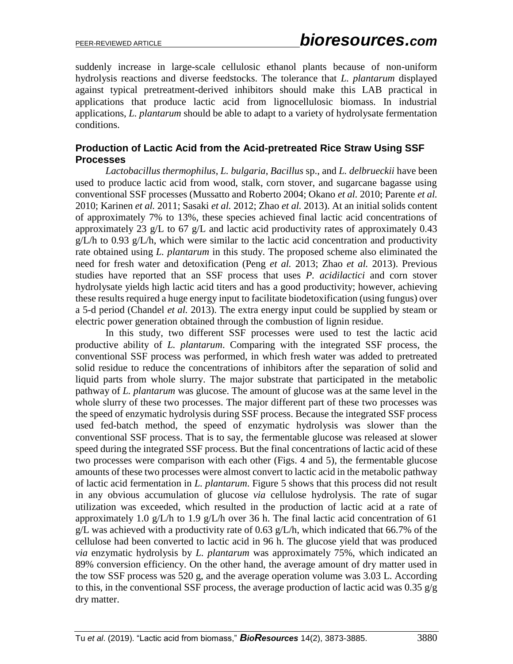suddenly increase in large-scale cellulosic ethanol plants because of non-uniform hydrolysis reactions and diverse feedstocks. The tolerance that *L. plantarum* displayed against typical pretreatment-derived inhibitors should make this LAB practical in applications that produce lactic acid from lignocellulosic biomass. In industrial applications, *L. plantarum* should be able to adapt to a variety of hydrolysate fermentation conditions.

## **Production of Lactic Acid from the Acid-pretreated Rice Straw Using SSF Processes**

*Lactobacillus thermophilus*, *L. bulgaria*, *Bacillus* sp., and *L. delbrueckii* have been used to produce lactic acid from wood, stalk, corn stover, and sugarcane bagasse using conventional SSF processes (Mussatto and Roberto 2004; Okano *et al.* 2010; Parente *et al.* 2010; Karinen *et al.* 2011; Sasaki *et al.* 2012; Zhao *et al.* 2013). At an initial solids content of approximately 7% to 13%, these species achieved final lactic acid concentrations of approximately 23 g/L to 67 g/L and lactic acid productivity rates of approximately 0.43  $g/L/h$  to 0.93  $g/L/h$ , which were similar to the lactic acid concentration and productivity rate obtained using *L. plantarum* in this study. The proposed scheme also eliminated the need for fresh water and detoxification (Peng *et al.* 2013; Zhao *et al.* 2013). Previous studies have reported that an SSF process that uses *P. acidilactici* and corn stover hydrolysate yields high lactic acid titers and has a good productivity; however, achieving these results required a huge energy input to facilitate biodetoxification (using fungus) over a 5-d period (Chandel *et al.* 2013). The extra energy input could be supplied by steam or electric power generation obtained through the combustion of lignin residue.

In this study, two different SSF processes were used to test the lactic acid productive ability of *L. plantarum*. Comparing with the integrated SSF process, the conventional SSF process was performed, in which fresh water was added to pretreated solid residue to reduce the concentrations of inhibitors after the separation of solid and liquid parts from whole slurry. The major substrate that participated in the metabolic pathway of *L. plantarum* was glucose. The amount of glucose was at the same level in the whole slurry of these two processes. The major different part of these two processes was the speed of enzymatic hydrolysis during SSF process. Because the integrated SSF process used fed-batch method, the speed of enzymatic hydrolysis was slower than the conventional SSF process. That is to say, the fermentable glucose was released at slower speed during the integrated SSF process. But the final concentrations of lactic acid of these two processes were comparison with each other (Figs. 4 and 5), the fermentable glucose amounts of these two processes were almost convert to lactic acid in the metabolic pathway of lactic acid fermentation in *L. plantarum*. Figure 5 shows that this process did not result in any obvious accumulation of glucose *via* cellulose hydrolysis. The rate of sugar utilization was exceeded, which resulted in the production of lactic acid at a rate of approximately 1.0 g/L/h to 1.9 g/L/h over 36 h. The final lactic acid concentration of 61 g/L was achieved with a productivity rate of 0.63 g/L/h, which indicated that 66.7% of the cellulose had been converted to lactic acid in 96 h. The glucose yield that was produced *via* enzymatic hydrolysis by *L. plantarum* was approximately 75%, which indicated an 89% conversion efficiency. On the other hand, the average amount of dry matter used in the tow SSF process was 520 g, and the average operation volume was 3.03 L. According to this, in the conventional SSF process, the average production of lactic acid was 0.35  $g/g$ dry matter.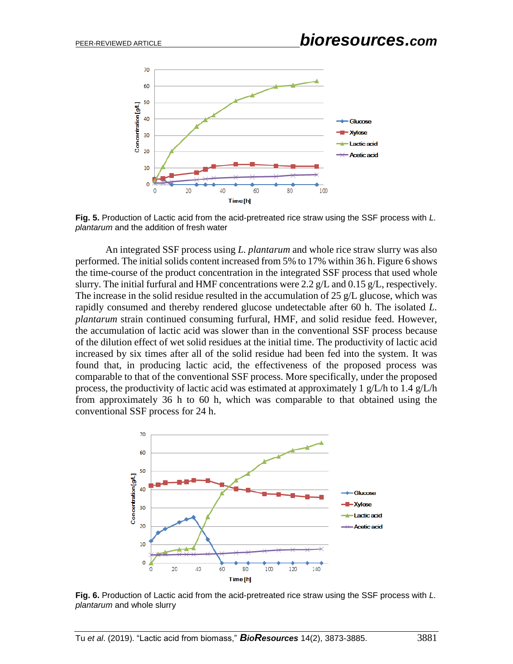

**Fig. 5.** Production of Lactic acid from the acid-pretreated rice straw using the SSF process with *L. plantarum* and the addition of fresh water

An integrated SSF process using *L. plantarum* and whole rice straw slurry was also performed. The initial solids content increased from 5% to 17% within 36 h. Figure 6 shows the time-course of the product concentration in the integrated SSF process that used whole slurry. The initial furfural and HMF concentrations were 2.2 g/L and 0.15 g/L, respectively. The increase in the solid residue resulted in the accumulation of 25 g/L glucose, which was rapidly consumed and thereby rendered glucose undetectable after 60 h. The isolated *L. plantarum* strain continued consuming furfural, HMF, and solid residue feed. However, the accumulation of lactic acid was slower than in the conventional SSF process because of the dilution effect of wet solid residues at the initial time. The productivity of lactic acid increased by six times after all of the solid residue had been fed into the system. It was found that, in producing lactic acid, the effectiveness of the proposed process was comparable to that of the conventional SSF process. More specifically, under the proposed process, the productivity of lactic acid was estimated at approximately 1 g/L/h to 1.4 g/L/h from approximately 36 h to 60 h, which was comparable to that obtained using the conventional SSF process for 24 h.



**Fig. 6.** Production of Lactic acid from the acid-pretreated rice straw using the SSF process with *L. plantarum* and whole slurry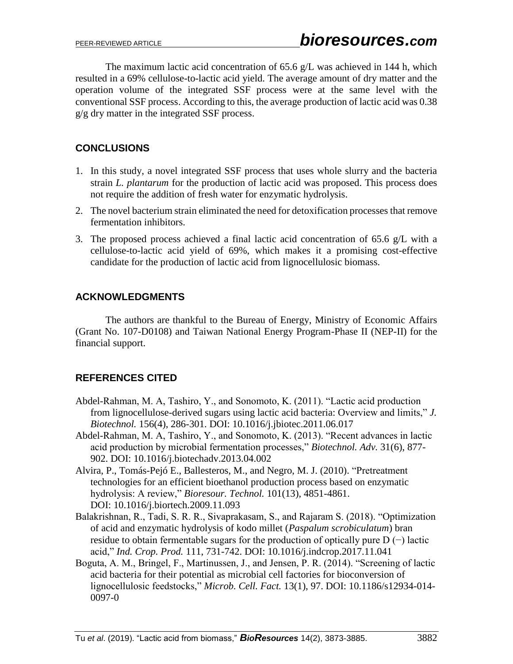The maximum lactic acid concentration of 65.6 g/L was achieved in 144 h, which resulted in a 69% cellulose-to-lactic acid yield. The average amount of dry matter and the operation volume of the integrated SSF process were at the same level with the conventional SSF process. According to this, the average production of lactic acid was 0.38 g/g dry matter in the integrated SSF process.

# **CONCLUSIONS**

- 1. In this study, a novel integrated SSF process that uses whole slurry and the bacteria strain *L. plantarum* for the production of lactic acid was proposed. This process does not require the addition of fresh water for enzymatic hydrolysis.
- 2. The novel bacterium strain eliminated the need for detoxification processes that remove fermentation inhibitors.
- 3. The proposed process achieved a final lactic acid concentration of 65.6 g/L with a cellulose-to-lactic acid yield of 69%, which makes it a promising cost-effective candidate for the production of lactic acid from lignocellulosic biomass.

# **ACKNOWLEDGMENTS**

The authors are thankful to the Bureau of Energy, Ministry of Economic Affairs (Grant No. 107-D0108) and Taiwan National Energy Program-Phase II (NEP-II) for the financial support.

# **REFERENCES CITED**

- Abdel-Rahman, M. A, Tashiro, Y., and Sonomoto, K. (2011). "Lactic acid production from lignocellulose-derived sugars using lactic acid bacteria: Overview and limits," *J. Biotechnol.* 156(4), 286-301. DOI: 10.1016/j.jbiotec.2011.06.017
- Abdel-Rahman, M. A, Tashiro, Y., and Sonomoto, K. (2013). "Recent advances in lactic acid production by microbial fermentation processes," *Biotechnol. Adv.* 31(6), 877- 902. DOI: 10.1016/j.biotechadv.2013.04.002
- Alvira, P., Tomás-Pejó E., Ballesteros, M., and Negro, M. J. (2010). "Pretreatment technologies for an efficient bioethanol production process based on enzymatic hydrolysis: A review," *Bioresour. Technol.* 101(13), 4851-4861. DOI: 10.1016/j.biortech.2009.11.093
- Balakrishnan, R., Tadi, S. R. R., Sivaprakasam, S., and Rajaram S. (2018). "Optimization of acid and enzymatic hydrolysis of kodo millet (*Paspalum scrobiculatum*) bran residue to obtain fermentable sugars for the production of optically pure D (−) lactic acid," *Ind. Crop. Prod.* 111, 731-742. DOI: 10.1016/j.indcrop.2017.11.041
- Boguta, A. M., Bringel, F., Martinussen, J., and Jensen, P. R. (2014). "Screening of lactic acid bacteria for their potential as microbial cell factories for bioconversion of lignocellulosic feedstocks," *Microb. Cell. Fact.* 13(1), 97. DOI: 10.1186/s12934-014- 0097-0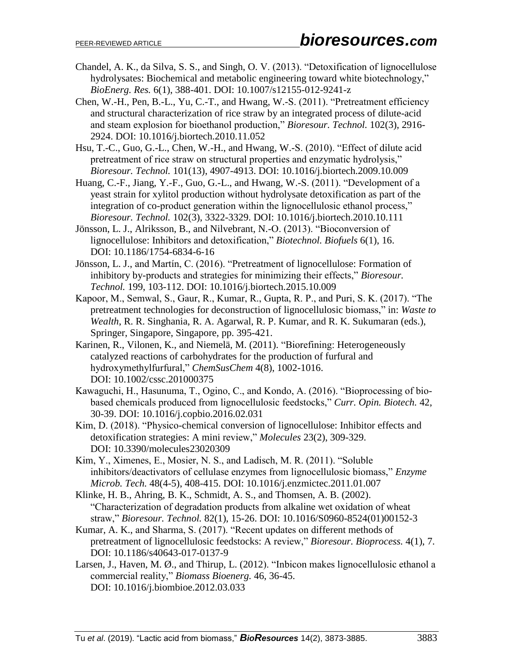- Chandel, A. K., da Silva, S. S., and Singh, O. V. (2013). "Detoxification of lignocellulose hydrolysates: Biochemical and metabolic engineering toward white biotechnology," *BioEnerg. Res.* 6(1), 388-401. DOI: 10.1007/s12155-012-9241-z
- Chen, W.-H., Pen, B.-L., Yu, C.-T., and Hwang, W.-S. (2011). "Pretreatment efficiency and structural characterization of rice straw by an integrated process of dilute-acid and steam explosion for bioethanol production," *Bioresour. Technol.* 102(3), 2916- 2924. DOI: 10.1016/j.biortech.2010.11.052
- Hsu, T.-C., Guo, G.-L., Chen, W.-H., and Hwang, W.-S. (2010). "Effect of dilute acid pretreatment of rice straw on structural properties and enzymatic hydrolysis," *Bioresour. Technol.* 101(13), 4907-4913. DOI: 10.1016/j.biortech.2009.10.009
- Huang, C.-F., Jiang, Y.-F., Guo, G.-L., and Hwang, W.-S. (2011). "Development of a yeast strain for xylitol production without hydrolysate detoxification as part of the integration of co-product generation within the lignocellulosic ethanol process," *Bioresour. Technol.* 102(3), 3322-3329. DOI: 10.1016/j.biortech.2010.10.111
- Jönsson, L. J., Alriksson, B., and Nilvebrant, N.-O. (2013). "Bioconversion of lignocellulose: Inhibitors and detoxification," *Biotechnol. Biofuels* 6(1), 16. DOI: 10.1186/1754-6834-6-16
- Jönsson, L. J., and Martín, C. (2016). "Pretreatment of lignocellulose: Formation of inhibitory by-products and strategies for minimizing their effects," *Bioresour. Technol.* 199, 103-112. DOI: 10.1016/j.biortech.2015.10.009
- Kapoor, M., Semwal, S., Gaur, R., Kumar, R., Gupta, R. P., and Puri, S. K. (2017). "The pretreatment technologies for deconstruction of lignocellulosic biomass," in: *Waste to Wealth*, R. R. Singhania, R. A. Agarwal, R. P. Kumar, and R. K. Sukumaran (eds.), Springer, Singapore, Singapore, pp. 395-421.
- Karinen, R., Vilonen, K., and Niemelä, M. (2011). "Biorefining: Heterogeneously catalyzed reactions of carbohydrates for the production of furfural and hydroxymethylfurfural," *ChemSusChem* 4(8), 1002-1016. DOI: 10.1002/cssc.201000375
- Kawaguchi, H., Hasunuma, T., Ogino, C., and Kondo, A. (2016). "Bioprocessing of biobased chemicals produced from lignocellulosic feedstocks," *Curr. Opin. Biotech.* 42, 30-39. DOI: 10.1016/j.copbio.2016.02.031
- Kim, D. (2018). "Physico-chemical conversion of lignocellulose: Inhibitor effects and detoxification strategies: A mini review," *Molecules* 23(2), 309-329. DOI: 10.3390/molecules23020309
- Kim, Y., Ximenes, E., Mosier, N. S., and Ladisch, M. R. (2011). "Soluble inhibitors/deactivators of cellulase enzymes from lignocellulosic biomass," *Enzyme Microb. Tech.* 48(4-5), 408-415. DOI: 10.1016/j.enzmictec.2011.01.007
- Klinke, H. B., Ahring, B. K., Schmidt, A. S., and Thomsen, A. B. (2002). "Characterization of degradation products from alkaline wet oxidation of wheat straw," *Bioresour. Technol.* 82(1), 15-26. DOI: 10.1016/S0960-8524(01)00152-3
- Kumar, A. K., and Sharma, S. (2017). "Recent updates on different methods of pretreatment of lignocellulosic feedstocks: A review," *Bioresour. Bioprocess.* 4(1), 7. DOI: 10.1186/s40643-017-0137-9
- Larsen, J., Haven, M. Ø., and Thirup, L. (2012). "Inbicon makes lignocellulosic ethanol a commercial reality," *Biomass Bioenerg.* 46, 36-45. DOI: 10.1016/j.biombioe.2012.03.033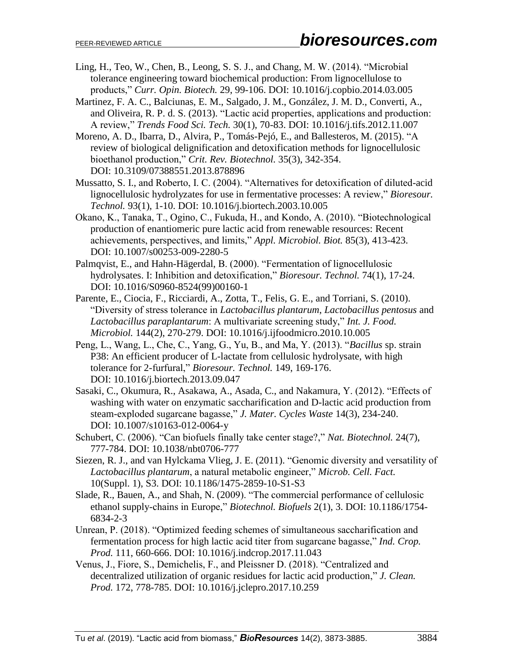- Ling, H., Teo, W., Chen, B., Leong, S. S. J., and Chang, M. W. (2014). "Microbial tolerance engineering toward biochemical production: From lignocellulose to products," *Curr. Opin. Biotech.* 29, 99-106. DOI: 10.1016/j.copbio.2014.03.005
- Martinez, F. A. C., Balciunas, E. M., Salgado, J. M., González, J. M. D., Converti, A., and Oliveira, R. P. d. S. (2013). "Lactic acid properties, applications and production: A review," *Trends Food Sci. Tech.* 30(1), 70-83. DOI: 10.1016/j.tifs.2012.11.007
- Moreno, A. D., Ibarra, D., Alvira, P., Tomás-Pejó, E., and Ballesteros, M. (2015). "A review of biological delignification and detoxification methods for lignocellulosic bioethanol production," *Crit. Rev. Biotechnol.* 35(3), 342-354. DOI: 10.3109/07388551.2013.878896
- Mussatto, S. I., and Roberto, I. C. (2004). "Alternatives for detoxification of diluted-acid lignocellulosic hydrolyzates for use in fermentative processes: A review," *Bioresour. Technol.* 93(1), 1-10. DOI: 10.1016/j.biortech.2003.10.005
- Okano, K., Tanaka, T., Ogino, C., Fukuda, H., and Kondo, A. (2010). "Biotechnological production of enantiomeric pure lactic acid from renewable resources: Recent achievements, perspectives, and limits," *Appl. Microbiol. Biot.* 85(3), 413-423. DOI: 10.1007/s00253-009-2280-5
- Palmqvist, E., and Hahn-Hägerdal, B. (2000). "Fermentation of lignocellulosic hydrolysates. I: Inhibition and detoxification," *Bioresour. Technol.* 74(1), 17-24. DOI: 10.1016/S0960-8524(99)00160-1
- Parente, E., Ciocia, F., Ricciardi, A., Zotta, T., Felis, G. E., and Torriani, S. (2010). "Diversity of stress tolerance in *Lactobacillus plantarum*, *Lactobacillus pentosus* and *Lactobacillus paraplantarum*: A multivariate screening study," *Int. J. Food. Microbiol.* 144(2), 270-279. DOI: 10.1016/j.ijfoodmicro.2010.10.005
- Peng, L., Wang, L., Che, C., Yang, G., Yu, B., and Ma, Y. (2013). "*Bacillus* sp. strain P38: An efficient producer of L-lactate from cellulosic hydrolysate, with high tolerance for 2-furfural," *Bioresour. Technol.* 149, 169-176. DOI: 10.1016/j.biortech.2013.09.047
- Sasaki, C., Okumura, R., Asakawa, A., Asada, C., and Nakamura, Y. (2012). "Effects of washing with water on enzymatic saccharification and D-lactic acid production from steam-exploded sugarcane bagasse," *J. Mater. Cycles Waste* 14(3), 234-240. DOI: 10.1007/s10163-012-0064-y
- Schubert, C. (2006). "Can biofuels finally take center stage?," *Nat. Biotechnol.* 24(7), 777-784. DOI: 10.1038/nbt0706-777
- Siezen, R. J., and van Hylckama Vlieg, J. E. (2011). "Genomic diversity and versatility of *Lactobacillus plantarum*, a natural metabolic engineer," *Microb. Cell. Fact.* 10(Suppl. 1), S3. DOI: 10.1186/1475-2859-10-S1-S3
- Slade, R., Bauen, A., and Shah, N. (2009). "The commercial performance of cellulosic ethanol supply-chains in Europe," *Biotechnol. Biofuels* 2(1), 3. DOI: 10.1186/1754- 6834-2-3
- Unrean, P. (2018). "Optimized feeding schemes of simultaneous saccharification and fermentation process for high lactic acid titer from sugarcane bagasse," *Ind. Crop. Prod.* 111, 660-666. DOI: 10.1016/j.indcrop.2017.11.043
- Venus, J., Fiore, S., Demichelis, F., and Pleissner D. (2018). "Centralized and decentralized utilization of organic residues for lactic acid production," *J. Clean. Prod.* 172, 778-785. DOI: 10.1016/j.jclepro.2017.10.259